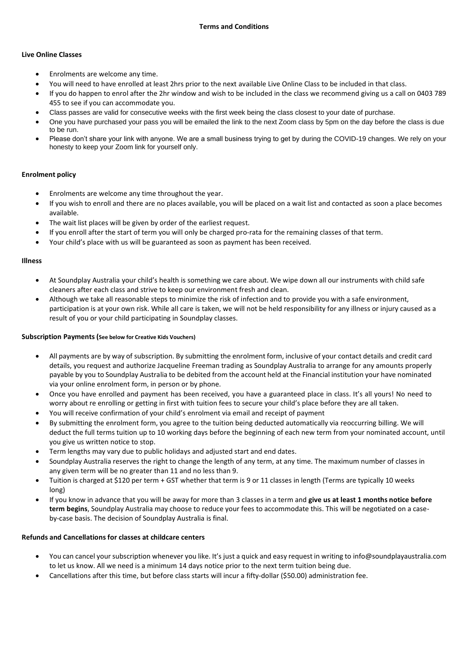### **Live Online Classes**

- Enrolments are welcome any time.
- You will need to have enrolled at least 2hrs prior to the next available Live Online Class to be included in that class.
- If you do happen to enrol after the 2hr window and wish to be included in the class we recommend giving us a call on 0403 789 455 to see if you can accommodate you.
- Class passes are valid for consecutive weeks with the first week being the class closest to your date of purchase.
- One you have purchased your pass you will be emailed the link to the next Zoom class by 5pm on the day before the class is due to be run.
- Please don't share your link with anyone. We are a small business trying to get by during the COVID-19 changes. We rely on your honesty to keep your Zoom link for yourself only.

## **Enrolment policy**

- Enrolments are welcome any time throughout the year.
- If you wish to enroll and there are no places available, you will be placed on a wait list and contacted as soon a place becomes available.
- The wait list places will be given by order of the earliest request.
- If you enroll after the start of term you will only be charged pro-rata for the remaining classes of that term.
- Your child's place with us will be guaranteed as soon as payment has been received.

### **Illness**

- At Soundplay Australia your child's health is something we care about. We wipe down all our instruments with child safe cleaners after each class and strive to keep our environment fresh and clean.
- Although we take all reasonable steps to minimize the risk of infection and to provide you with a safe environment, participation is at your own risk. While all care is taken, we will not be held responsibility for any illness or injury caused as a result of you or your child participating in Soundplay classes.

### **Subscription Payments (See below for Creative Kids Vouchers)**

- All payments are by way of subscription. By submitting the enrolment form, inclusive of your contact details and credit card details, you request and authorize Jacqueline Freeman trading as Soundplay Australia to arrange for any amounts properly payable by you to Soundplay Australia to be debited from the account held at the Financial institution your have nominated via your online enrolment form, in person or by phone.
- Once you have enrolled and payment has been received, you have a guaranteed place in class. It's all yours! No need to worry about re enrolling or getting in first with tuition fees to secure your child's place before they are all taken.
- You will receive confirmation of your child's enrolment via email and receipt of payment
- By submitting the enrolment form, you agree to the tuition being deducted automatically via reoccurring billing. We will deduct the full terms tuition up to 10 working days before the beginning of each new term from your nominated account, until you give us written notice to stop.
- Term lengths may vary due to public holidays and adjusted start and end dates.
- Soundplay Australia reserves the right to change the length of any term, at any time. The maximum number of classes in any given term will be no greater than 11 and no less than 9.
- Tuition is charged at \$120 per term + GST whether that term is 9 or 11 classes in length (Terms are typically 10 weeks long)
- If you know in advance that you will be away for more than 3 classes in a term and **give us at least 1 months notice before term begins**, Soundplay Australia may choose to reduce your fees to accommodate this. This will be negotiated on a caseby-case basis. The decision of Soundplay Australia is final.

# **Refunds and Cancellations for classes at childcare centers**

- You can cancel your subscription whenever you like. It's just a quick and easy request in writing to info@soundplayaustralia.com to let us know. All we need is a minimum 14 days notice prior to the next term tuition being due.
- Cancellations after this time, but before class starts will incur a fifty-dollar (\$50.00) administration fee.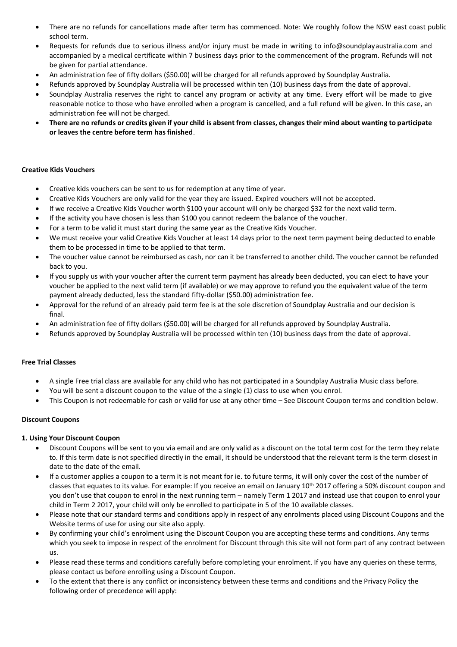- There are no refunds for cancellations made after term has commenced. Note: We roughly follow the NSW east coast public school term.
- Requests for refunds due to serious illness and/or injury must be made in writing to info@soundplayaustralia.com and accompanied by a medical certificate within 7 business days prior to the commencement of the program. Refunds will not be given for partial attendance.
- An administration fee of fifty dollars (\$50.00) will be charged for all refunds approved by Soundplay Australia.
- Refunds approved by Soundplay Australia will be processed within ten (10) business days from the date of approval.
- Soundplay Australia reserves the right to cancel any program or activity at any time. Every effort will be made to give reasonable notice to those who have enrolled when a program is cancelled, and a full refund will be given. In this case, an administration fee will not be charged.
- **There are no refunds or credits given if your child is absent from classes, changes their mind about wanting to participate or leaves the centre before term has finished**.

#### **Creative Kids Vouchers**

- Creative kids vouchers can be sent to us for redemption at any time of year.
- Creative Kids Vouchers are only valid for the year they are issued. Expired vouchers will not be accepted.
- If we receive a Creative Kids Voucher worth \$100 your account will only be charged \$32 for the next valid term.
- If the activity you have chosen is less than \$100 you cannot redeem the balance of the voucher.
- For a term to be valid it must start during the same year as the Creative Kids Voucher.
- We must receive your valid Creative Kids Voucher at least 14 days prior to the next term payment being deducted to enable them to be processed in time to be applied to that term.
- The voucher value cannot be reimbursed as cash, nor can it be transferred to another child. The voucher cannot be refunded back to you.
- If you supply us with your voucher after the current term payment has already been deducted, you can elect to have your voucher be applied to the next valid term (if available) or we may approve to refund you the equivalent value of the term payment already deducted, less the standard fifty-dollar (\$50.00) administration fee.
- Approval for the refund of an already paid term fee is at the sole discretion of Soundplay Australia and our decision is final.
- An administration fee of fifty dollars (\$50.00) will be charged for all refunds approved by Soundplay Australia.
- Refunds approved by Soundplay Australia will be processed within ten (10) business days from the date of approval.

### **Free Trial Classes**

- A single Free trial class are available for any child who has not participated in a Soundplay Australia Music class before.
- You will be sent a discount coupon to the value of the a single (1) class to use when you enrol.
- This Coupon is not redeemable for cash or valid for use at any other time See Discount Coupon terms and condition below.

### **Discount Coupons**

### **1. Using Your Discount Coupon**

- Discount Coupons will be sent to you via email and are only valid as a discount on the total term cost for the term they relate to. If this term date is not specified directly in the email, it should be understood that the relevant term is the term closest in date to the date of the email.
- If a customer applies a coupon to a term it is not meant for ie. to future terms, it will only cover the cost of the number of classes that equates to its value. For example: If you receive an email on January 10<sup>th</sup> 2017 offering a 50% discount coupon and you don't use that coupon to enrol in the next running term – namely Term 1 2017 and instead use that coupon to enrol your child in Term 2 2017, your child will only be enrolled to participate in 5 of the 10 available classes.
- Please note that our standard terms and conditions apply in respect of any enrolments placed using Discount Coupons and the Website terms of use for using our site also apply.
- By confirming your child's enrolment using the Discount Coupon you are accepting these terms and conditions. Any terms which you seek to impose in respect of the enrolment for Discount through this site will not form part of any contract between us.
- Please read these terms and conditions carefully before completing your enrolment. If you have any queries on these terms, please contact us before enrolling using a Discount Coupon.
- To the extent that there is any conflict or inconsistency between these terms and conditions and the Privacy Policy the following order of precedence will apply: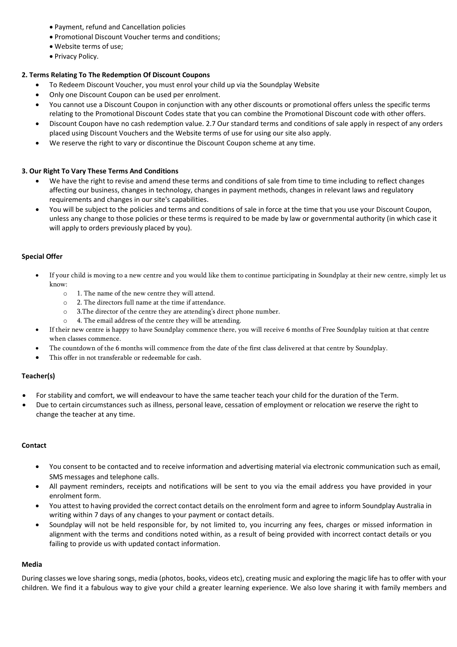- Payment, refund and Cancellation policies
- Promotional Discount Voucher terms and conditions;
- Website terms of use;
- Privacy Policy.

# **2. Terms Relating To The Redemption Of Discount Coupons**

- To Redeem Discount Voucher, you must enrol your child up via the Soundplay Website
- Only one Discount Coupon can be used per enrolment.
- You cannot use a Discount Coupon in conjunction with any other discounts or promotional offers unless the specific terms relating to the Promotional Discount Codes state that you can combine the Promotional Discount code with other offers.
- Discount Coupon have no cash redemption value. 2.7 Our standard terms and conditions of sale apply in respect of any orders placed using Discount Vouchers and the Website terms of use for using our site also apply.
- We reserve the right to vary or discontinue the Discount Coupon scheme at any time.

## **3. Our Right To Vary These Terms And Conditions**

- We have the right to revise and amend these terms and conditions of sale from time to time including to reflect changes affecting our business, changes in technology, changes in payment methods, changes in relevant laws and regulatory requirements and changes in our site's capabilities.
- You will be subject to the policies and terms and conditions of sale in force at the time that you use your Discount Coupon, unless any change to those policies or these terms is required to be made by law or governmental authority (in which case it will apply to orders previously placed by you).

## **Special Offer**

- If your child is moving to a new centre and you would like them to continue participating in Soundplay at their new centre, simply let us know:
	- o 1. The name of the new centre they will attend.
	- o 2. The directors full name at the time if attendance.
	- o 3.The director of the centre they are attending's direct phone number.
	- o 4. The email address of the centre they will be attending.
- If their new centre is happy to have Soundplay commence there, you will receive 6 months of Free Soundplay tuition at that centre when classes commence.
- The countdown of the 6 months will commence from the date of the first class delivered at that centre by Soundplay.
- This offer in not transferable or redeemable for cash.

# **Teacher(s)**

- For stability and comfort, we will endeavour to have the same teacher teach your child for the duration of the Term.
- Due to certain circumstances such as illness, personal leave, cessation of employment or relocation we reserve the right to change the teacher at any time.

### **Contact**

- You consent to be contacted and to receive information and advertising material via electronic communication such as email, SMS messages and telephone calls.
- All payment reminders, receipts and notifications will be sent to you via the email address you have provided in your enrolment form.
- You attest to having provided the correct contact details on the enrolment form and agree to inform Soundplay Australia in writing within 7 days of any changes to your payment or contact details.
- Soundplay will not be held responsible for, by not limited to, you incurring any fees, charges or missed information in alignment with the terms and conditions noted within, as a result of being provided with incorrect contact details or you failing to provide us with updated contact information.

### **Media**

During classes we love sharing songs, media (photos, books, videos etc), creating music and exploring the magic life has to offer with your children. We find it a fabulous way to give your child a greater learning experience. We also love sharing it with family members and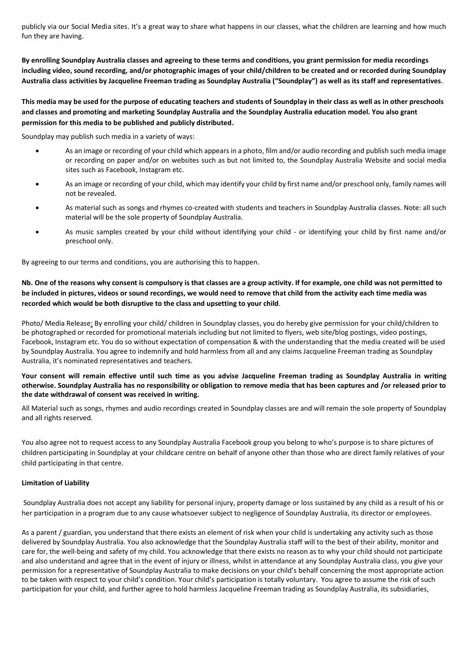publicly via our Social Media sites. It's a great way to share what happens in our classes, what the children are learning and how much fun they are having.

**By enrolling Soundplay Australia classes and agreeing to these terms and conditions, you grant permission for media recordings including video, sound recording, and/or photographic images of your child/children to be created and or recorded during Soundplay Australia class activities by Jacqueline Freeman trading as Soundplay Australia ("Soundplay") as well as its staff and representatives**.

**This media may be used for the purpose of educating teachers and students of Soundplay in their class as well as in other preschools and classes and promoting and marketing Soundplay Australia and the Soundplay Australia education model. You also grant permission for this media to be published and publicly distributed.**

Soundplay may publish such media in a variety of ways:

- As an image or recording of your child which appears in a photo, film and/or audio recording and publish such media image or recording on paper and/or on websites such as but not limited to, the Soundplay Australia Website and social media sites such as Facebook, Instagram etc.
- As an image or recording of your child, which may identify your child by first name and/or preschool only, family names will not be revealed.
- As material such as songs and rhymes co-created with students and teachers in Soundplay Australia classes. Note: all such material will be the sole property of Soundplay Australia.
- As music samples created by your child without identifying your child or identifying your child by first name and/or preschool only.

By agreeing to our terms and conditions, you are authorising this to happen.

**Nb. One of the reasons why consent is compulsory is that classes are a group activity. If for example, one child was not permitted to be included in pictures, videos or sound recordings, we would need to remove that child from the activity each time media was recorded which would be both disruptive to the class and upsetting to your child**.

Photo/ Media Release: By enrolling your child/ children in Soundplay classes, you do hereby give permission for your child/children to be photographed or recorded for promotional materials including but not limited to flyers, web site/blog postings, video postings, Facebook, Instagram etc. You do so without expectation of compensation & with the understanding that the media created will be used by Soundplay Australia. You agree to indemnify and hold harmless from all and any claims Jacqueline Freeman trading as Soundplay Australia, it's nominated representatives and teachers.

**Your consent will remain effective until such time as you advise Jacqueline Freeman trading as Soundplay Australia in writing otherwise. Soundplay Australia has no responsibility or obligation to remove media that has been captures and /or released prior to the date withdrawal of consent was received in writing.**

All Material such as songs, rhymes and audio recordings created in Soundplay classes are and will remain the sole property of Soundplay and all rights reserved.

You also agree not to request access to any Soundplay Australia Facebook group you belong to who's purpose is to share pictures of children participating in Soundplay at your childcare centre on behalf of anyone other than those who are direct family relatives of your child participating in that centre.

### **Limitation of Liability**

Soundplay Australia does not accept any liability for personal injury, property damage or loss sustained by any child as a result of his or her participation in a program due to any cause whatsoever subject to negligence of Soundplay Australia, its director or employees.

As a parent / guardian, you understand that there exists an element of risk when your child is undertaking any activity such as those delivered by Soundplay Australia. You also acknowledge that the Soundplay Australia staff will to the best of their ability, monitor and care for, the well-being and safety of my child. You acknowledge that there exists no reason as to why your child should not participate and also understand and agree that in the event of injury or illness, whilst in attendance at any Soundplay Australia class, you give your permission for a representative of Soundplay Australia to make decisions on your child's behalf concerning the most appropriate action to be taken with respect to your child's condition. Your child's participation is totally voluntary. You agree to assume the risk of such participation for your child, and further agree to hold harmless Jacqueline Freeman trading as Soundplay Australia, its subsidiaries,